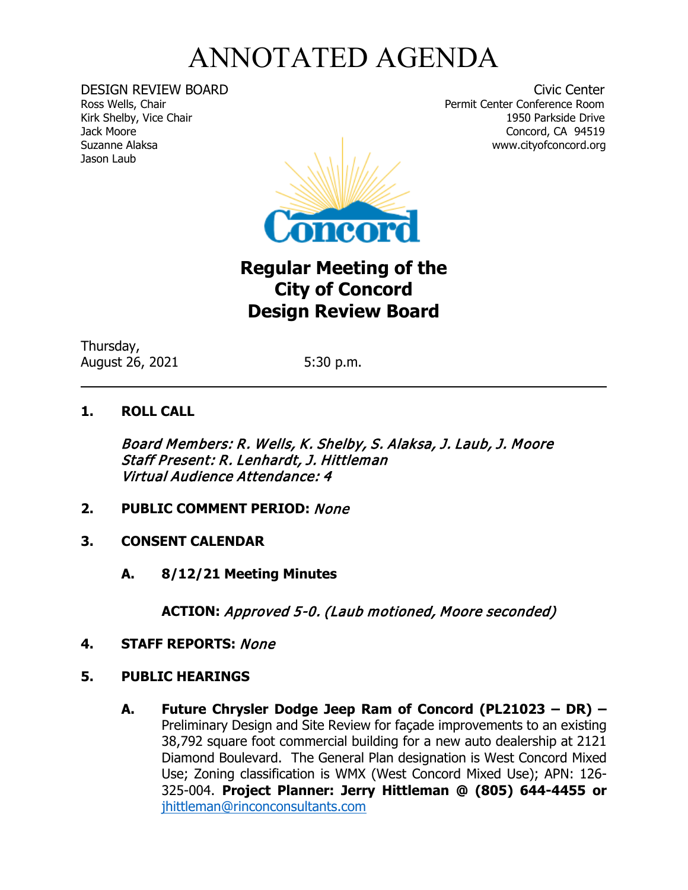## ANNOTATED AGENDA

Kirk Shelby, Vice Chair Jason Laub

DESIGN REVIEW BOARD<br>
Ross Wells, Chair<br>
Ross Wells, Chair Permit Center Conference Room<br>1950 Parkside Drive Jack Moore Concord, CA 94519



## **Regular Meeting of the City of Concord Design Review Board**

Thursday, August 26, 2021 5:30 p.m.

## **1. ROLL CALL**

Board Members: R. Wells, K. Shelby, S. Alaksa, J. Laub, J. Moore Staff Present: R. Lenhardt, J. Hittleman Virtual Audience Attendance: 4

- **2. PUBLIC COMMENT PERIOD:** None
- **3. CONSENT CALENDAR**
	- **A. 8/12/21 Meeting Minutes**

**ACTION:** Approved 5-0. (Laub motioned, Moore seconded)

- **4. STAFF REPORTS:** None
- **5. PUBLIC HEARINGS**
	- **A. Future Chrysler Dodge Jeep Ram of Concord (PL21023 – DR) –** Preliminary Design and Site Review for façade improvements to an existing 38,792 square foot commercial building for a new auto dealership at 2121 Diamond Boulevard. The General Plan designation is West Concord Mixed Use; Zoning classification is WMX (West Concord Mixed Use); APN: 126- 325-004. **Project Planner: Jerry Hittleman @ (805) 644-4455 or**  [jhittleman@rinconconsultants.com](mailto:jhittleman@rinconconsultants.com)